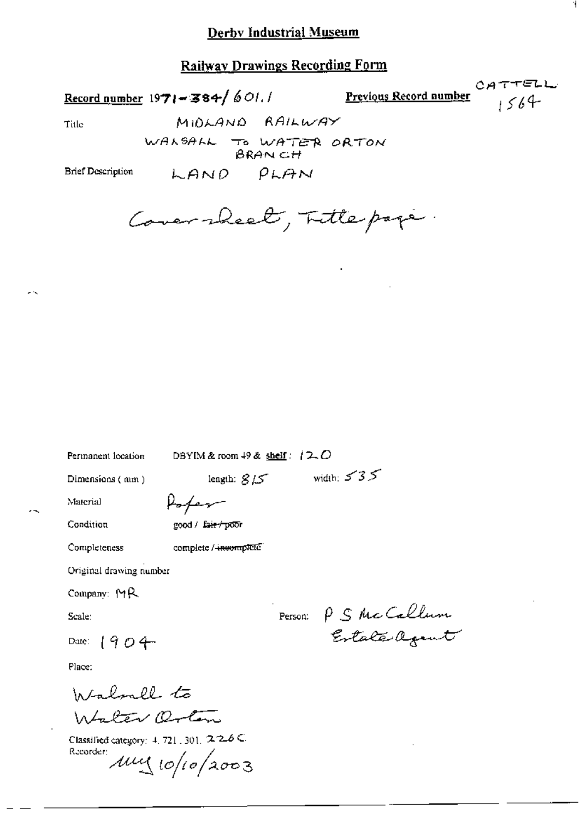## **Railway Drawings Recording Form**

Record number  $1971 - 384 / 601.1$ 

LAND

Previous Record number

 $CATFELL$  $1564$ 

Ί

Title

WALSALL TO WATER ORTON

 $\rho_{LAM}$ 

MIDLAND RAILWAY

**Brief Description** 

Coversheet, Fittepope.

Permanent location

DBYIM & room  $49$  & shelf:  $12.0$ 

length:  $815$  width:  $535$ 

Dimensions (mm)

Poter

Condition

Completeness

Material

good / fair / poor

complete / incomplete

Original drawing number

Company:  $M$ R

Scale:

Date:  $1904$ 

Place:

Walnell to Walter Orton

Classified category: 4, 721, 301, 226C Recorder  $\mu$ uy 10/10/2003

Person: P S McCallum Estate agent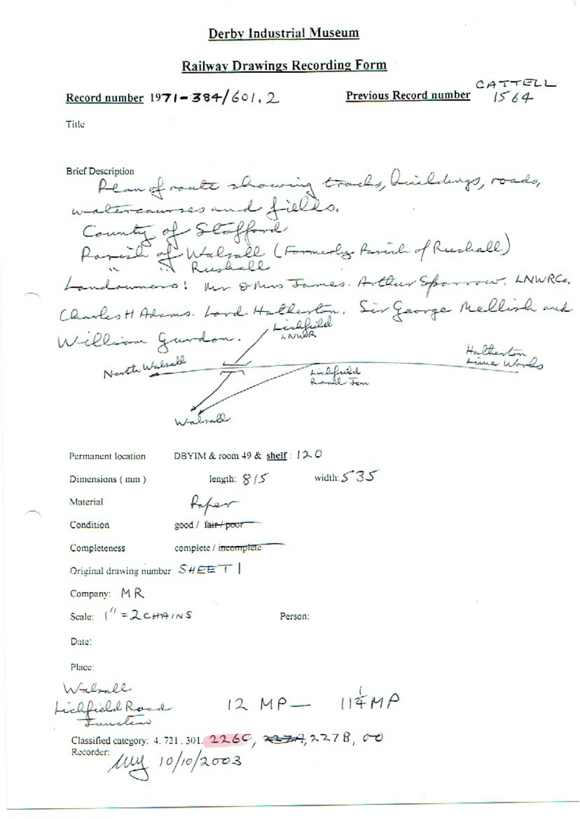# **Railway Drawings Recording Form**

# Record number  $1971 - 384/601$ , 2

CATTELL<br> $1564$ Previous Record number

| <b>Brief Description</b>                                                               | Plan of route showing tracks, huilding<br>watercourses and fields.<br>County of Stafford<br>of Walsall (Formerly Parish of Rushall) |         | ~ Ohios James. Arthur Spo |                       | LNWRCO, |
|----------------------------------------------------------------------------------------|-------------------------------------------------------------------------------------------------------------------------------------|---------|---------------------------|-----------------------|---------|
| Charles H Adams. Lord Hatherton. Sir George Mellin<br>William Gurdon.<br>North Walsall |                                                                                                                                     | Lightel | Lichfield<br>a said ten   | Halterton<br>Line War |         |
|                                                                                        |                                                                                                                                     |         |                           |                       |         |
| Permanent location                                                                     | DBYIM & room 49 & shelf: $12.0$                                                                                                     |         |                           |                       |         |
| Dimensions (mm)                                                                        | length: $8/5$                                                                                                                       |         | width: $535$              |                       |         |
| Material                                                                               | taper                                                                                                                               |         |                           |                       |         |
| Condition                                                                              | good / fair / poor                                                                                                                  |         |                           |                       |         |
| Completeness                                                                           | complete / incomplete                                                                                                               |         |                           |                       |         |
| Original drawing number $SHEET$                                                        |                                                                                                                                     |         |                           |                       |         |
| Company: MR                                                                            |                                                                                                                                     |         |                           |                       |         |
| Scale: $1'' = 2cH4/NS$                                                                 |                                                                                                                                     | Person: |                           |                       |         |
| Date:                                                                                  |                                                                                                                                     |         |                           |                       |         |
| Place:                                                                                 |                                                                                                                                     |         |                           |                       |         |
| Walnall                                                                                |                                                                                                                                     |         |                           |                       |         |
| ichfield Road                                                                          |                                                                                                                                     |         | $12 MP - 114 MP$          |                       |         |
| Recorder:                                                                              | Classified category: 4.721.301. $226C$ , $3347278$ , 00<br>$10\frac{1}{10}$ 10/10/2003                                              |         |                           |                       |         |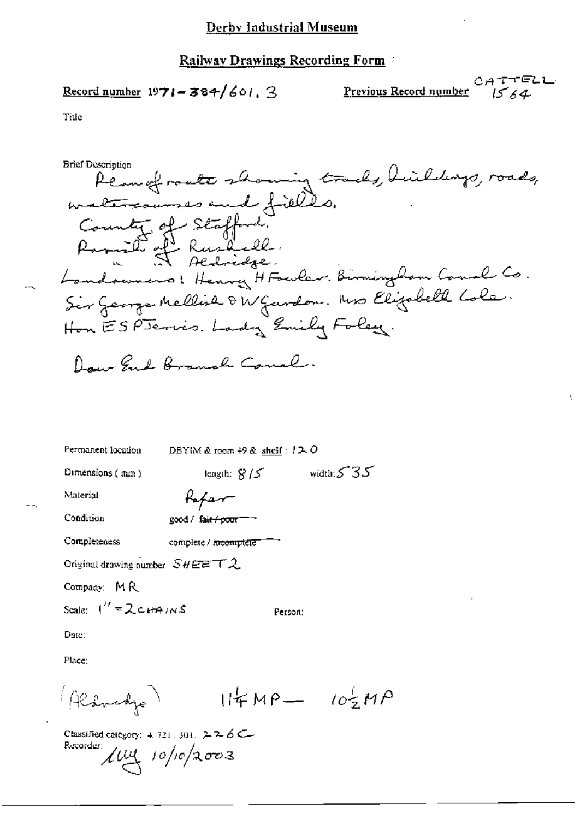Record number 1971-384/601. 3

Previous Record number

CATTELL  $1564$ 

Title

**Brief Description** 

Rean of route showing tracks, huildings, roads, County of Stafford. Ramid of Rushall Landswers: Henry HFowler. Birmingham Canal Co. Sir George Mellish & W Gurdon. Mrs Elizabeth Cole. Hon ESPJervis. Lady Emily Foley. Day End Branch Courl.

| Permanent location                 | DBYIM & room $49$ & shelf : $12.0$ |
|------------------------------------|------------------------------------|
| Dimensions $(mn)$                  | width: $535$<br>length: $8/5$      |
| Material                           |                                    |
| Condition                          | good / fair / poor = -             |
| Completeness                       | complete / i <del>ncomptete</del>  |
| Original drawing number $SHEET$ 2. |                                    |
| Company: MR                        |                                    |
| Scale: $1'' = 2cH4/NS$             | Person:                            |
| Date:                              |                                    |
| Place:                             |                                    |
| Randjo                             | $114MP - 102MP$                    |

Classified category: 4, 721, 301,  $2.26C -$ Recorder:  $\mu$  $\mu$  10/10/2003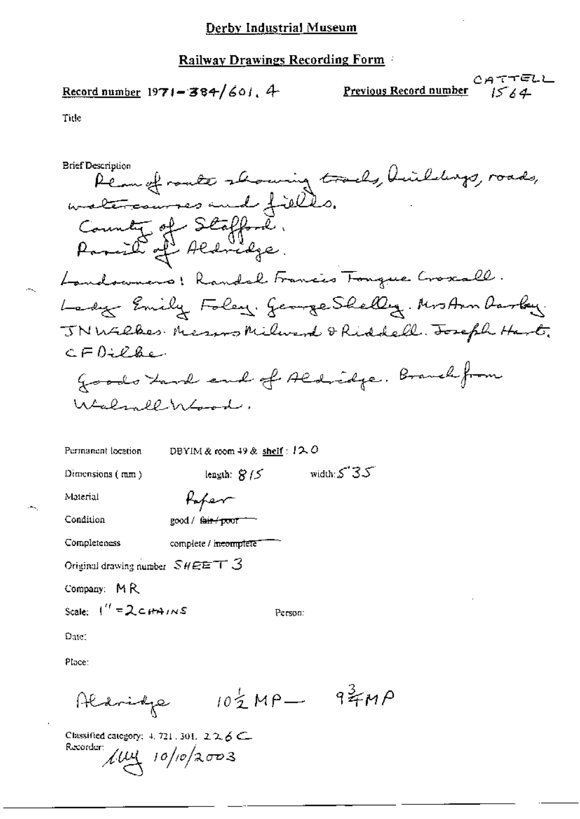$$
\underline{\text{Record number}} 1971 - 384 / 601. 4
$$

CATTELL Previous Record number  $1564$ 

Tide

Classified category: 4, 721, 301, 226C Recorder:  $10\frac{1}{10}$  10/10/2003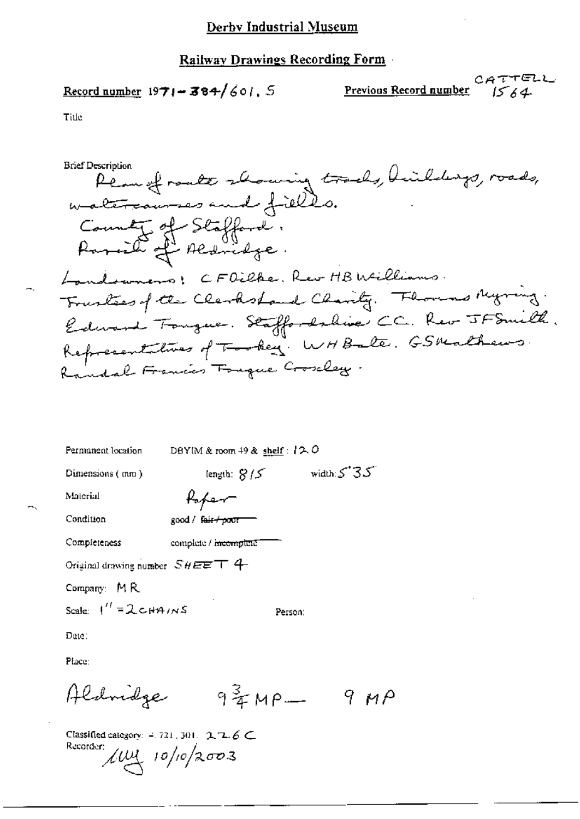Record number  $1971 - 384/601$ , 5

CATTELL Previous Record number  $1564$ 

Title

**Brief Description** Pean of roate showing tracks, huildings, roads,<br>watercourses and fields. County of Stafford.<br>Paraille of Aldridge. Landoumers: CFOilke. Rev HB Williams. Frustees of the Clerkshand Charity. Thousand Myring. Edward Tongue. Staffordshive CC. Rev JFSmith. Representatives of Tookey. WHBate. GSMathews. Randal Francis Forgue Croseley.

| Permanent location                 | DBYIM & room $49$ & shelf: $12.0$ |                |  |
|------------------------------------|-----------------------------------|----------------|--|
| Dimensions (mm)                    | length: $8/5$                     | width: $5'35'$ |  |
| Material                           | fafer                             |                |  |
| Condition                          | good / f <del>air/poor</del>      |                |  |
| Completeness                       | complete / meemplete              |                |  |
| Original drawing number $SHEE$ T 4 |                                   |                |  |
| Company: MR                        |                                   |                |  |
| Scale: $1'' = 2c\mu\pi/\sqrt{s}$   | Person:                           |                |  |
| Date:                              |                                   |                |  |
| Place:                             |                                   |                |  |
| Aldridge                           | $94$ MP-                          | 9 и Р          |  |

Classified category:  $-721$ ,  $301$ ,  $2 \mathbb{Z}$ ,  $6 \subset$ Recorder;  $\mu$  $\mu$  10/10/2003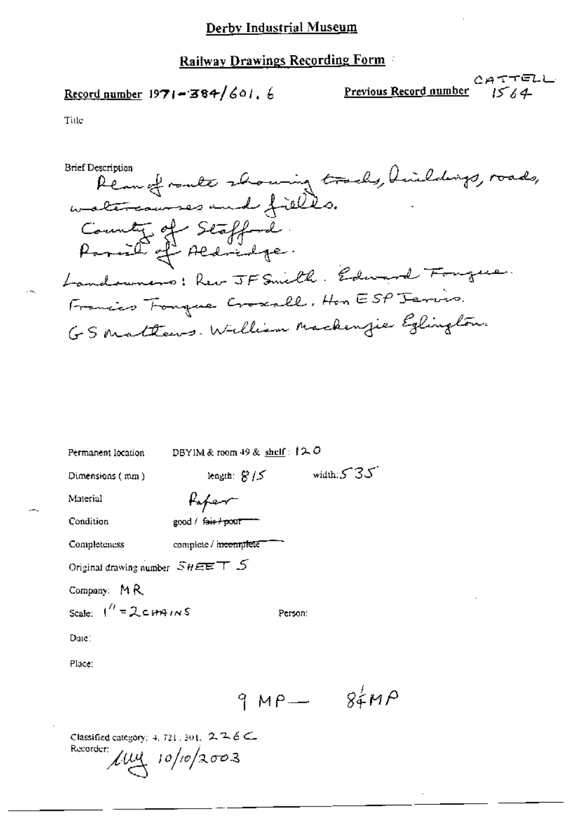Record number  $1971 - 384/601.6$ 

CATTELL Previous Record number  $1564$ 

Title

Reau of ranke showing tracks, huildings, roads, **Brief Description** County of Stafford.<br>Parish of Aldridge. Landowners: Rev JF Smith. Edward Fougue. Francis Fonque Croscall, Hon ESP Jervis. GS Mattews. William Mackenzie Eglington.

| Permanent location                                                        | DBYIM & room 49 & $\frac{\text{shell}}{2}$ : $\uparrow \sim 0$ |              |
|---------------------------------------------------------------------------|----------------------------------------------------------------|--------------|
| Dimensions (mm)                                                           | length: $S/S$                                                  | width: $535$ |
| Material                                                                  | Paper-                                                         |              |
| Condition                                                                 | good / fair / pour                                             |              |
| Completeness                                                              | complete / meemplete                                           |              |
| Original drawing number $\mathcal{S}H\mathbf{E}\mathbf{E}\top\mathcal{S}$ |                                                                |              |
| Company: $M R$                                                            |                                                                |              |
| Scale: $1'' = 2cm + 1 \times S$                                           | Person:                                                        |              |
| Date:                                                                     |                                                                |              |
| Place:                                                                    |                                                                |              |
|                                                                           | $9MP-$                                                         | 84H          |
|                                                                           |                                                                |              |
|                                                                           | ---                                                            |              |

Classified category: 4, 721, 301,  $2.26 \subset$ Recorder:  $\mu$ uy 10/10/2003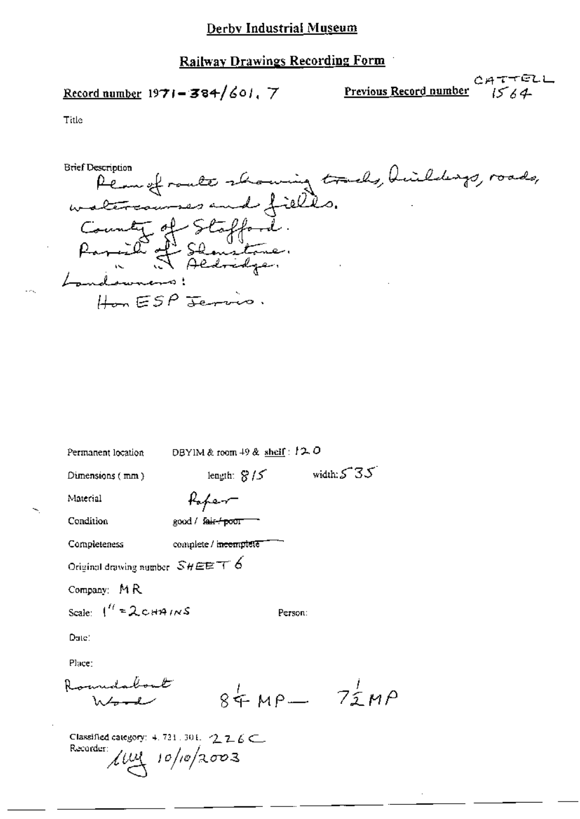Record number  $1971 - 384/601$ , 7

イビレレ  $CAT$ Previous Record number  $1564$ 

homing tracks, huildings, roads, **Brief Description** Permet route 2 altercour to. County of Stafford.<br>Parish Shamatone. Parail 2  $HomESP$  Jerri

| Permanent location                       | DBYIM & room $+9$ & shelf: $12.0$                   |                   |
|------------------------------------------|-----------------------------------------------------|-------------------|
| Dimensions $(mn)$                        | length: $8/5$                                       | width: $5.35$     |
| Material                                 | Kapen-                                              |                   |
| Condition                                | good / fair-/ poor                                  |                   |
| Completeness                             | complete / incomplete"                              |                   |
| Original drawing number $SHEET6$         |                                                     |                   |
| Company: MR                              |                                                     |                   |
| Scale: $1'' = 2 \text{cm}$ in S          |                                                     | Person:           |
| Date:                                    |                                                     |                   |
| Place:                                   |                                                     |                   |
| Romadabout<br>Word                       |                                                     | $84 \mu$ P $72 M$ |
| Recorder: $\mu_{\mathcal{A}}$ 10/10/2003 | Classified category: $4.721.301.$ $2.26 \leftarrow$ |                   |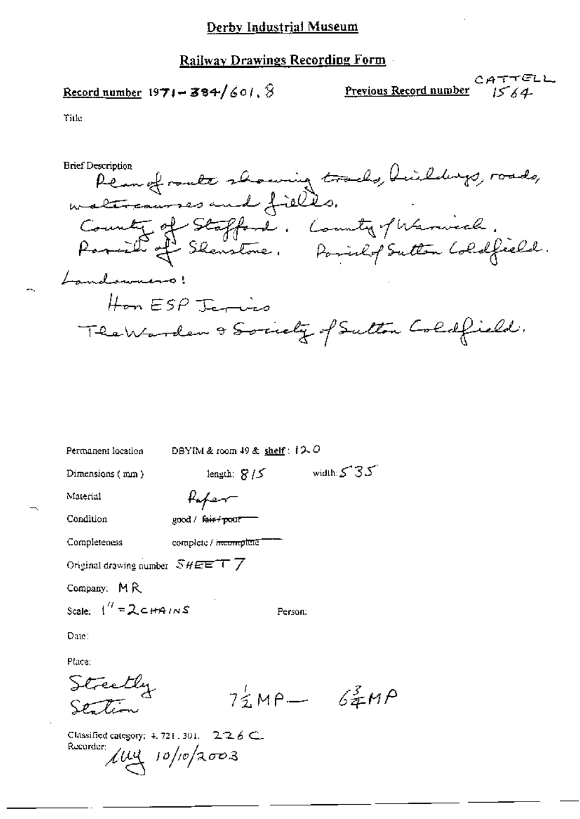Record number  $1971 - 384/601.$ 

Previous Record number

CATTELL  $1564$ 

Title

**Brief Description** Permofrante showing tracks, huildings, roads,<br>watercourses and fields. County of Stafford. County of Warnich.<br>Parish of Skenstone. Possilop Sutton Coldfield. Landowners! Hon ESP Jamies The Warden & Society of Sutton Coldfield.

| Permanent location                 | DBYIM & room 49 & shelf : i2.0   |                                   |
|------------------------------------|----------------------------------|-----------------------------------|
| Dimensions (mm)                    | length: $8/5$                    | width: $535$                      |
| Material                           | Hoper-                           |                                   |
| Condition                          | good / fair+pour                 |                                   |
| Completeness                       | complete / <del>incomplete</del> |                                   |
| Original drawing number $SHEETT$ / |                                  |                                   |
| Company: MR                        |                                  |                                   |
| Scale: $1'' = 2cH4/NS$             | Person:                          |                                   |
| Date:                              |                                  |                                   |
| Place:                             |                                  |                                   |
| Streetly                           |                                  | $7\frac{1}{2}MP - 6\frac{3}{2}MP$ |
|                                    |                                  |                                   |

 $226C$ Classified category: 4, 721, 301. Recorder;  $\mu$ uy 10/10/2003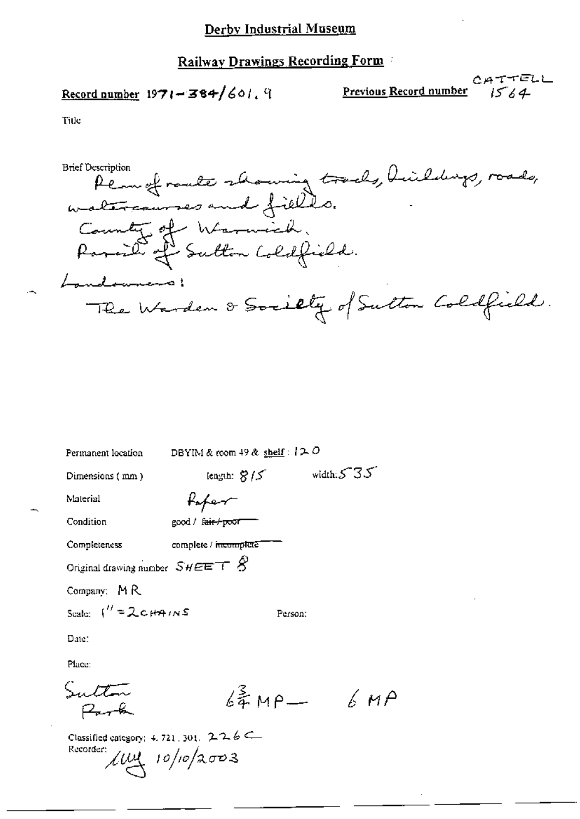Record number  $1971 - 384/601$ . 9

CATTELL Previous Record number  $1564$ 

Title

Permetrante showing tracks, huildings, roads,<br>watercourses and fields. **Brief Description** County of Warnich. Parail of Sutton Coldfield. Landownano! The Warden & Society of Sutton Coldfield.

| Permanent location                                | DBYIM & room 49 & shelf : $12.0$            |               |
|---------------------------------------------------|---------------------------------------------|---------------|
| Dimensions (mm)                                   | length: $8/5$                               | width: $5.35$ |
| Material                                          | Paper                                       |               |
| Condition                                         | good / f <del>air / po</del> or <sup></sup> |               |
| Completeness                                      | complete / incomplete                       |               |
| Original drawing number $SHEET \otimes$           |                                             |               |
| Company: MR                                       |                                             |               |
| Scale: $\frac{1}{1}$ = 2 c $\theta$ $\theta$ in S | Person:                                     |               |
| Date:                                             |                                             |               |
| Place:                                            |                                             |               |
| Sulton                                            | $6\frac{2}{3}$ MP $-$                       | $6\,$ MP      |
|                                                   | . . <i>. .</i>                              |               |

Classified category: 4, 721, 301,  $226 \leftarrow$ Recorder:  $\mu$ uy 10/10/2003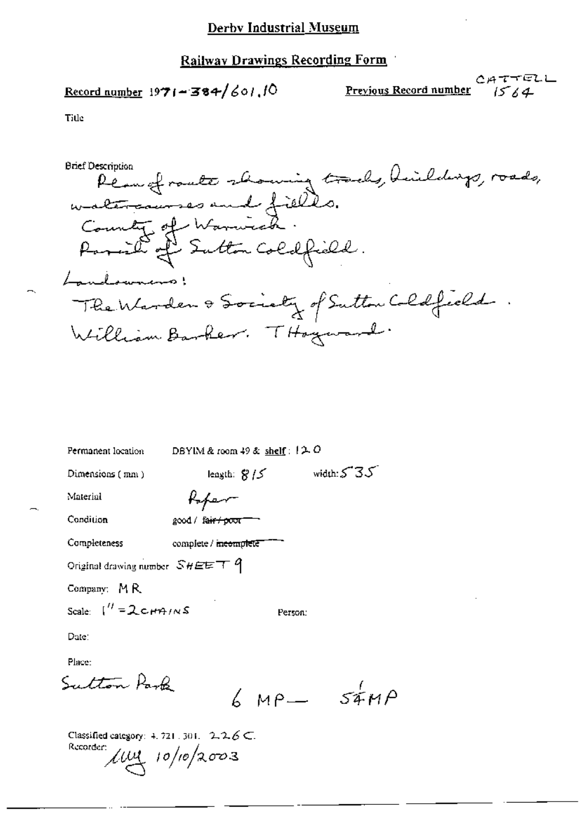Record number  $1971 - 384/601$ , 10

Previous Record number

CATTELL  $1564$ 

Title

Péau of route showing tracks, huildings, roads,<br>watercourses and filles.<br>County of Warnick. **Brief Description** Parail of Sutton Coldfield. Landowners: The Warden & Society of Sutton Coldfield  $\ddot{\phantom{1}}$ William Barker. THoyward.

| Permanent location                  | DBYIM & room 49 & shelf: $12.0$ |                |
|-------------------------------------|---------------------------------|----------------|
| Dimensions ( mm )                   | length: $8/5$                   | width: $535$   |
| Material                            | Kafer                           |                |
| Condition                           | good / fair / poor"             |                |
| Completeness                        | complete / meemplete            |                |
| Original drawing number $SHEET$ $q$ |                                 |                |
| Company: $M R$                      |                                 |                |
| Scale: $1'' = 2cm/ns$               | Person:                         |                |
| Date:                               |                                 |                |
| Place:                              |                                 |                |
| Sutton Park                         |                                 | $6 MP - 54 MP$ |
|                                     |                                 |                |

Classified category: 4, 721, 301,  $2.26 \subset$ . Recorder:  $\mu$ uy 10/10/2003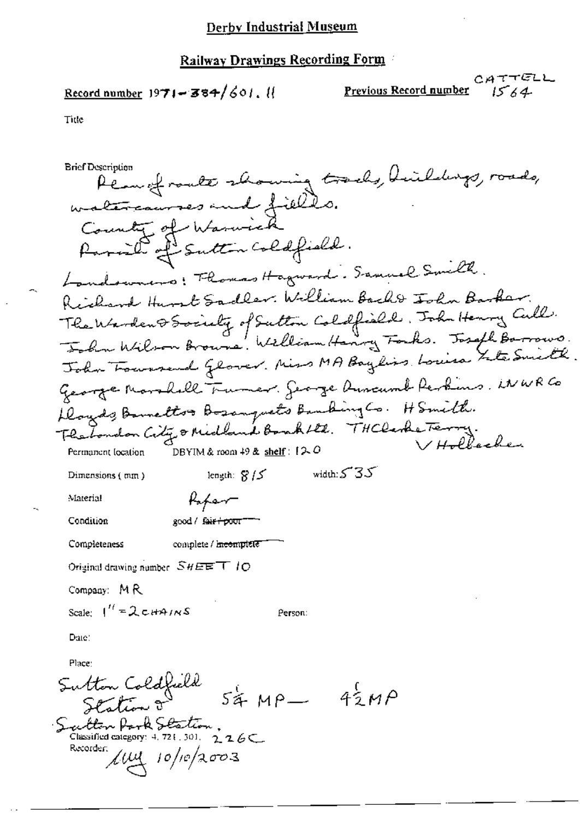Record number  $1971 - 384/601$ . If

CATTELL Previous Record number  $1564$ 

Title

**Brief Description** Pean of route showing tracks, huildings, roads, watercourses and fields. County of Waswick Parail of Sutton Coldfield. Londowners: Thomas Hagward. Samuel Smilh Richard Hunst Sadler. William Bacht John Barker. The Warden & Society of Sutton Coldfield, John Henry Cull. Folm Wilson Browns. William Hangy Forks. Joseph Barrows.<br>John Fourwered Glover. Miss MA Baylis Louisa Site Smith George Monshall Tumer. Searge Auseumb Perkins, WWRCo Dougds, Barnettos Bosanguets Banking Co. H Smith. Heabers on City & Midland Bank Htl. THClerke Terry. DBYIM & room  $49$  & shelf :  $12.0$ Permanent location width:  $535$ length:  $8/5$ Dimensions (mm) Material Kaper Condition good / fair+poor Completeness complete / incomplete Original drawing number  $SHEE$  T  $IO$ Company: MR Scale:  $1'' = 2 \text{cmains}$ Person: Date: Place: Sutton Coldfield<br>Station o  $54 MP - 42 MP$ Sautton Park Station.<br>Classified category: 4, 721.301. 226C Recorder:  $\mu$ uu 10/10/2003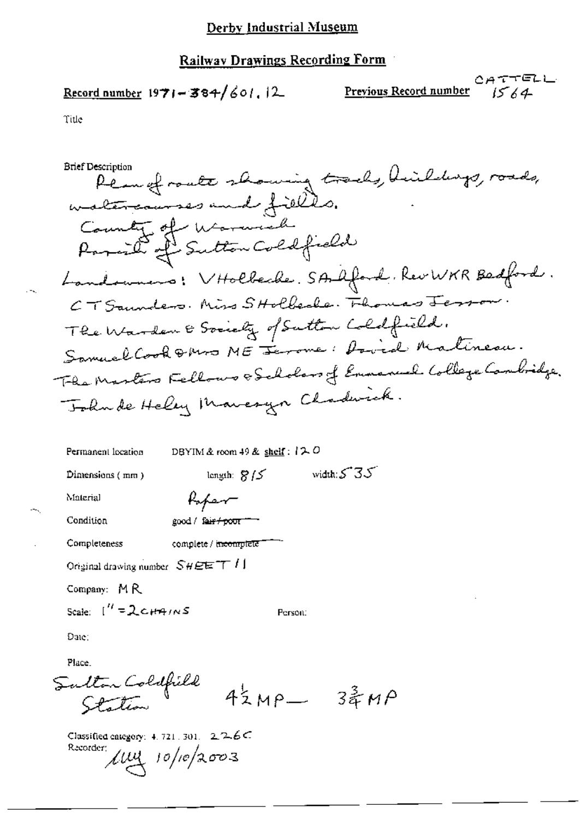Record number  $1971 - 384/601$ , 12

CATTELL Previous Record number  $1564$ 

Title

**Brief Description** Plan of route showing tracks, hildungs, roads, watercourses and fields. County of Warwich Landowners: VHolbecke, SAAford, RevWKR Bedford. CT Saunders. Miss SHolbecke. Flowers Jesson The Warden & Society of Sutton Coldfield. Samuel Cook & Mrs ME Jerome: Dovid Matineau. The Martin Fellows & Scholars of Emmanuel College Cambridge. Tohnde Heley Maneryn Chadwick.

| Permanent location               |                              | DBYIM & room 49 & shelf: $120$    |         |                  |  |
|----------------------------------|------------------------------|-----------------------------------|---------|------------------|--|
| Dimensions (mm)                  |                              | length: $8/5$                     |         | width: $535$     |  |
| Material                         | Koper                        |                                   |         |                  |  |
| Condition                        | good / fai <del>r/pour</del> |                                   |         |                  |  |
| Completeness                     |                              | complete / i <del>ncomplete</del> |         |                  |  |
| Original drawing number $SHEETI$ |                              |                                   |         |                  |  |
| Company: MR                      |                              |                                   |         |                  |  |
| Scale: $\binom{11}{2}$ CHAINS    |                              |                                   | Person: |                  |  |
| Dute:                            |                              |                                   |         |                  |  |
| Place.                           |                              |                                   |         |                  |  |
| Fulton Coldfield<br>Staten       |                              |                                   |         |                  |  |
|                                  |                              |                                   | $MP$ -  | $3\frac{3}{4}MP$ |  |

Classified category: 4, 721, 301,  $226C$ Recorder:  $\mu$ uy 10/10/2003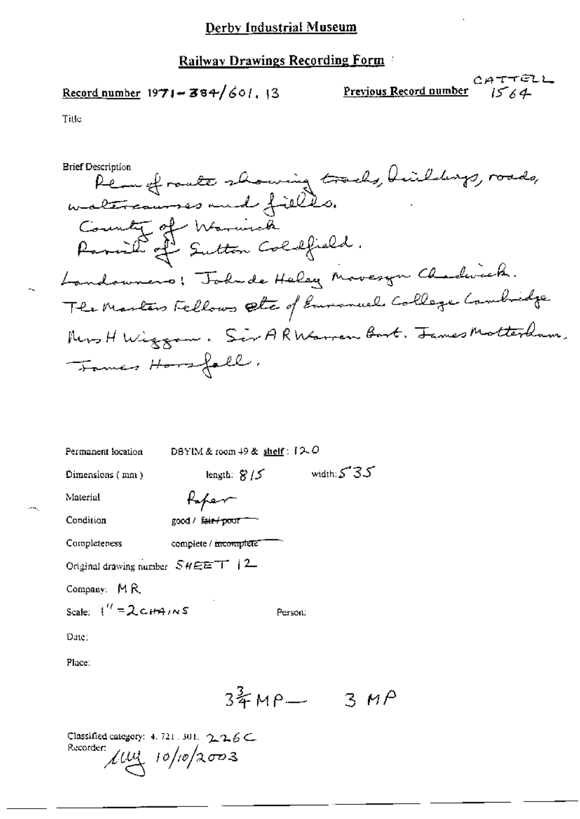Record number  $1971 - 384/601$ , 13

CATTELL Previous Record number  $1564$ 

Title

Permettrante showing tracks, buildings, roads,<br>watercourses and fields. **Brief Description** County of Warnick Ramil of Sutton Coldfield. Landowners! Todude Heley Movesyn Chardwick. The Martin Fellows Etc of Emmanuel College Cambridge Mrs H Wizzon. Sir ARWarren Bort. James Motterham. Tomes Hossfall,

| Permanent location                  | DBYIM & room $+9$ & shelf : $12.0$ |               |
|-------------------------------------|------------------------------------|---------------|
| Dimensions (mm)                     | length: $8/5$                      | width: $5.35$ |
| Material                            | Kaper                              |               |
| Condition                           | good / fair / poor                 |               |
| Completeness                        | complete / mcomplete               |               |
| Original drawing number $SHEET$   2 |                                    |               |
| Company: MR                         |                                    |               |
| Scale: $1'' = 2 \epsilon H4/NS$     | Person:                            |               |
| Date:                               |                                    |               |
| Place:                              |                                    |               |
|                                     | 3年MP―                              | 3.            |

Classified category: 4, 721, 301,  $\gamma_1 \gamma_2 \beta \subset$ Recorder:  $\mu$ uy 10/10/2003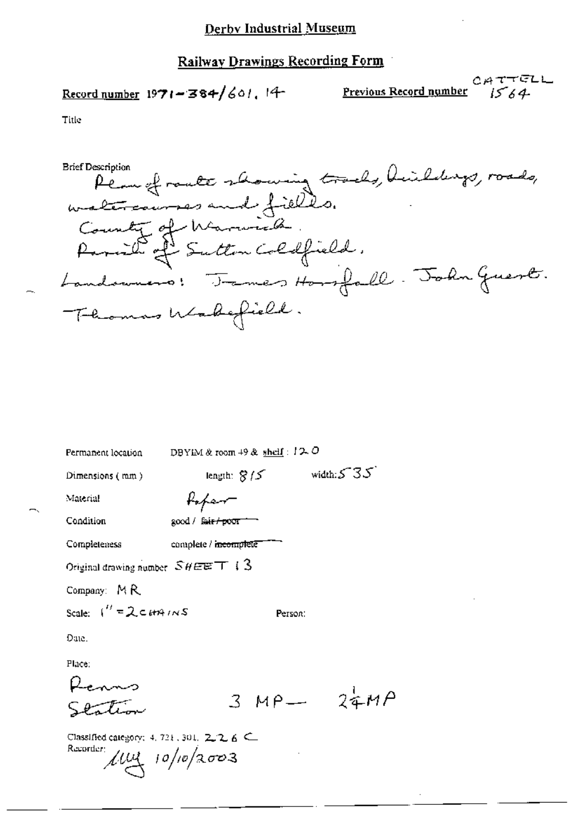$$
\underline{\text{Record number}} 1971 - 384 / 601.14
$$

CATTELL Previous Record number  $1564$ 

Plan of route showing tracks, huildings, roads,<br>watercourses and fields.<br>County of Marwick.<br>Passil of Sutton Coldfield. **Brief Description** Landonners: James Horsfall. John Guest. Thomas Wakefield.

| Permanent location                                        | DBYIM & room $+9$ & shelf : $12.0$ |               |
|-----------------------------------------------------------|------------------------------------|---------------|
| Dimensions (mm)                                           | length: $8/5$                      | width: $5.35$ |
| Material                                                  | Kopen-                             |               |
| Condition                                                 | good / f <del>air/poor =</del>     |               |
| Completeness                                              | complete / incomplete              |               |
| Original drawing number $SHEET + 3$                       |                                    |               |
| Company: MR                                               |                                    |               |
| Scale: $1'' = 2 \epsilon H H/NS$                          | Person:                            |               |
| Date.                                                     |                                    |               |
| Place:                                                    |                                    |               |
|                                                           |                                    |               |
|                                                           |                                    | $3MP - 24MP$  |
| Classified category: 4, 721, 301, 2, 2, 6 C.<br>Recorder: | $\mu$ uy 10/10/2003                |               |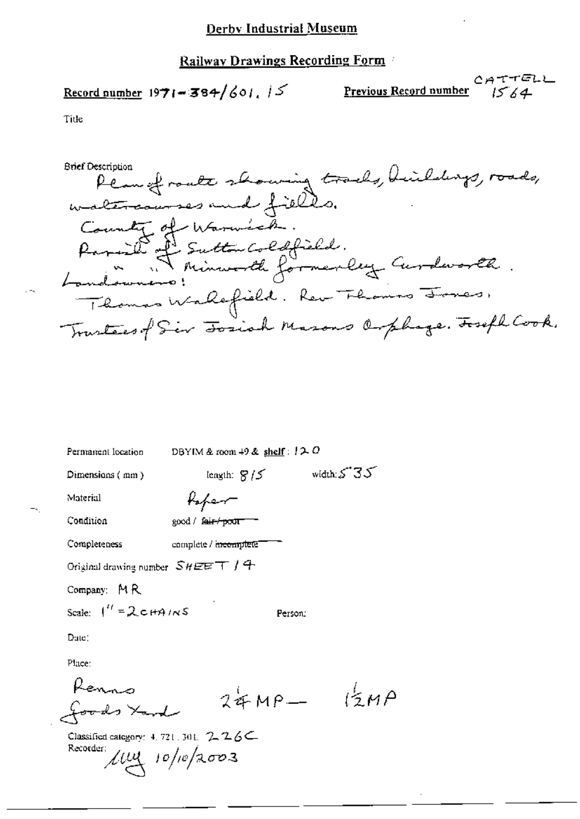# Record number  $1971 - 384/601$ ,  $15$

CATTELL **Previous Record number**  $1564$ 

**Brief Description** Plan of route showing tracks, huildings, roads,<br>watercourses and fields. County of Warwick. Parish Futton Coldfield.<br>Landowners: Minuralle formerley Curdworth. Thomas Wallefield. Rev Thomas Jones, Trustees of Sir Toxich Masons Orphage. Toseph Cook.

| Permanent location                                     | DBYIM & room $+9$ & shelf: $12.0$ |                        |
|--------------------------------------------------------|-----------------------------------|------------------------|
| Dimensions (mm)                                        | length: $8/5$                     | width $535$            |
| Material                                               | Kaper                             |                        |
| Condition                                              | good / f <del>air/poor</del>      |                        |
| Completeness                                           | complete / <del>meomple</del> te" |                        |
| Original drawing number $SHEET$ / $\pm$                |                                   |                        |
| Company: MR                                            |                                   |                        |
| Scale: $1'' = 2 \text{cm} + 41 \text{m}$               | Person:                           |                        |
| Date:                                                  |                                   |                        |
| Place:                                                 |                                   |                        |
|                                                        | $24MP -$                          | $\mathcal{L}^{\xi}$ MA |
| foods Xand                                             |                                   |                        |
| Classified category: 4, 721, 301, $2.26C$<br>Recorder: | $\mu$ uy 10/10/2003               |                        |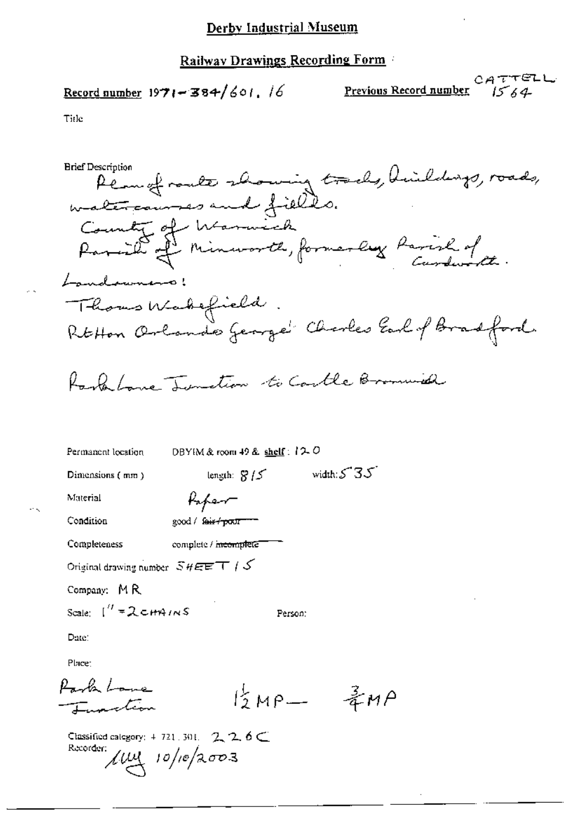Record number  $1971 - 384/601$ , 16

CATTELL Previous Record number 1564

Permet route showing tracks, huildings, roads,<br>watercourses and fields. **Brief Description** County of Warwick<br>Paraille of Minworth, formerly Parish of Landownano! Thous Wakefield. RtHon Orlando George Charles Earl of Bradford. Rank Lane Tuesdion to Coulle Bromwich DBYIM & room 49 & shelf:  $120$ Permanent location width:  $5.35$ length:  $8/5$ Dimensions (mm) Paper Material good / fair / poor ---Condition Completeness complete / meemplete Original drawing number  $SHEET$  /  $S$ Company: MR Scale:  $\int^{\prime\prime} = 2 \cot \theta / \sqrt{S}$ Person: Date: Place: Park Love  $B_{MP-}$   $\frac{3}{4}$ MP Imalion Classified category:  $4-721$ , 301, 2, 2, 6 Recorder:  $\mu$ uy 10/10/2003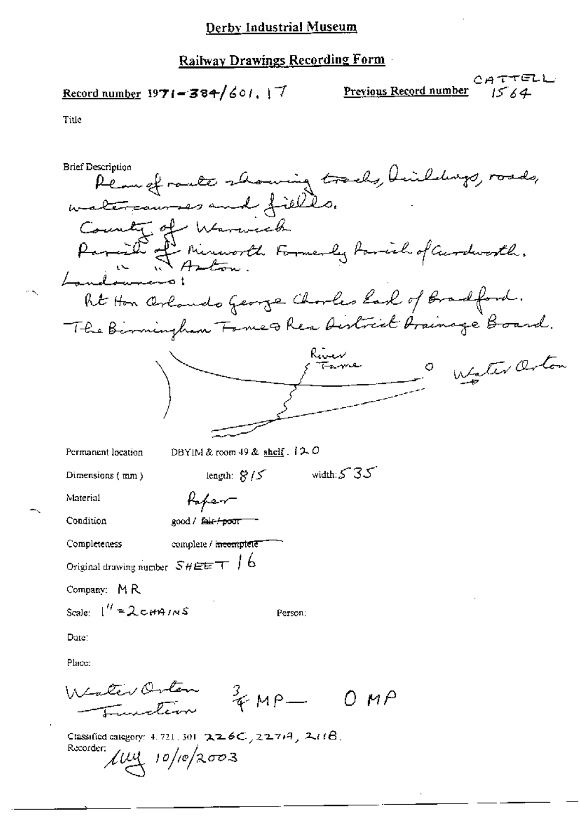$$
\underline{\text{Record number}} 1971 = 384/601, 17
$$

CATTELL Previous Record number  $1564$ 

| <b>Brief Description</b>                                                                        |
|-------------------------------------------------------------------------------------------------|
| Plan of route showing tracks, 4                                                                 |
| watercourses and fields.                                                                        |
| County of<br>Warweck                                                                            |
| Paraille of Minuworth Formerly family of Curdworth.                                             |
|                                                                                                 |
|                                                                                                 |
| Rt Hon Orlando George Charles East of Bradford.                                                 |
| The Birmingham Fame & Rea Aistrict Grainage Board.                                              |
|                                                                                                 |
| Water Orton                                                                                     |
|                                                                                                 |
|                                                                                                 |
|                                                                                                 |
| DBYIM & room 49 & shelf $.120$<br>Permanent location                                            |
| width: $5.35$<br>length: $8/5$<br>Dimensions (mm)                                               |
| Material<br>Kaper                                                                               |
| Condition<br>good / f <del>air / poor</del>                                                     |
| complete / incomptete<br>Completeness                                                           |
| Original drawing number $SHEET$   6                                                             |
| Company: MR                                                                                     |
| Scale: $\int'' = 2 \text{cm}$ $m/s$<br>Person:                                                  |
| Date:                                                                                           |
| Place:                                                                                          |
| Wester Orten<br>vakevanten 3 MP - OMP                                                           |
| Classified category: 4, 721, 301, $226C_7227747$ , $211B$ .<br>Recorder:<br>$\mu$ uy 10/10/2003 |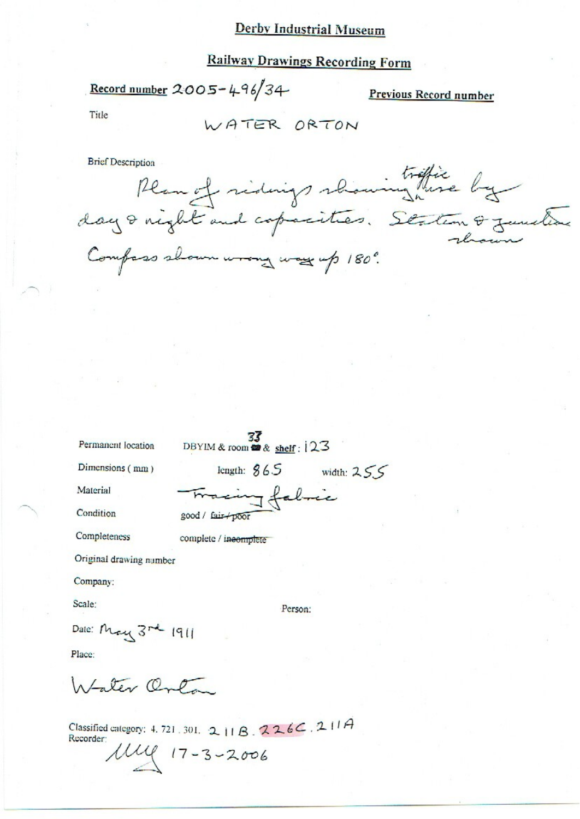# **Railway Drawings Recording Form**

Record number 2005-496/34

Previous Record number

Title

WATER ORTON

Brief Description<br>Plan et ridings rhominghise by Compass shown wrong way up 180°.

Permanent location

DBYIM & room  $\frac{33}{23}$ 

acing fabric

Dimensions (mm)

Material

Condition

Completeness

Original drawing number

Company:

Scale:

Person:

length:  $865$  width:  $255$ 

Date: May 3rd 1911

Place:

Intater Onla

Classified category: 4, 721, 301, 2, 11 B,  $226C$ , 2, 11 A Recorder:

good / fair poor

complete / incomplete

 $17 - 3 - 2006$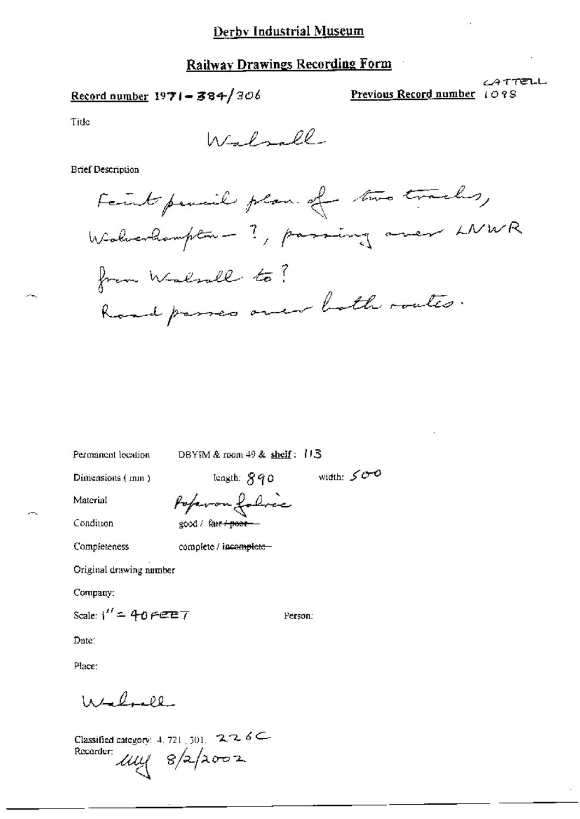Record number  $1971 - 384/306$ 

Previous Record number 1098

<u>CATTELL</u>

Title

Walsall

**Brief Description** 

Faint pencil plan of two tracks, Walverhampton - ?, passing oner LNWR from Walsall to ? Road passes over both roates.

width:  $500$ 

Person:

Permanent location

DBYIM & room 49 & shelf: 113

Dimensions (mm)

 $length: 890$ 

Material

Poperon folice good / far<del>r / poor -</del>

Condition Completeness

complete / incomplete-

Original drawing number

Company:

Scale:  $1'' = 40$  FEET

Date:

Place:

 $1020$ 

Classified category: 4, 721, 501,  $226$ Recorder  $\mu$  $\approx$  8/2/2002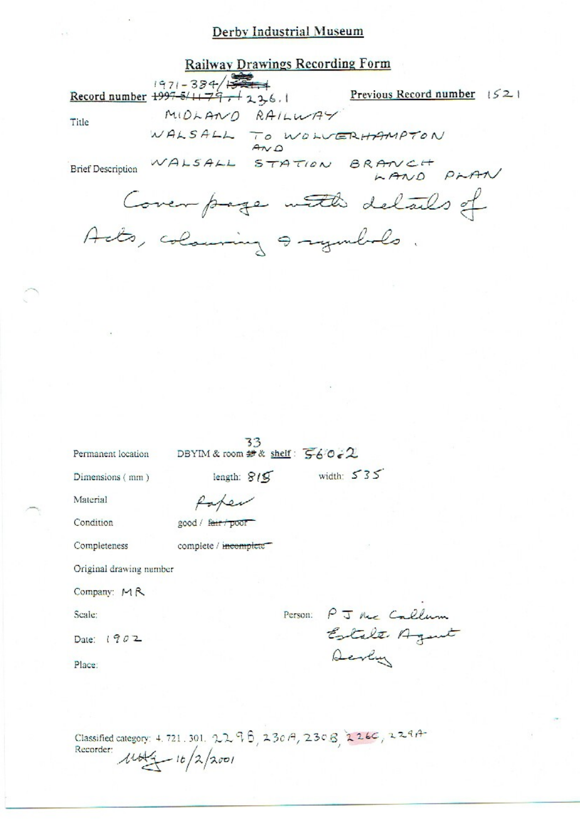**Railway Drawings Recording Form** 

Title

MIDLAND RAILWAY WALSALL TO WOLVERHAMPTON

Record number 1997-384/134

Brief Description WALSALL STATION BRANCH PLAN

Previous Record number  $|52|$ 

Cover page with details of Acts, colouring a symbols.

33<br>DBYIM & room # & shelf:  $560.2$ Permanent location

length:  $815$  width:  $535$ 

Dimensions (mm)

Paper

Material

Condition

good / fair / poor

Completeness

complete / incomplete

Original drawing number

Company: MR

Scale:

Date: 1902

Place:

Person: PJ Me Callum Estate Agent Devly

Classified category: 4.721.301. 2296, 230A, 230B, 226C, 229A Recorder:  $16/2/2001$